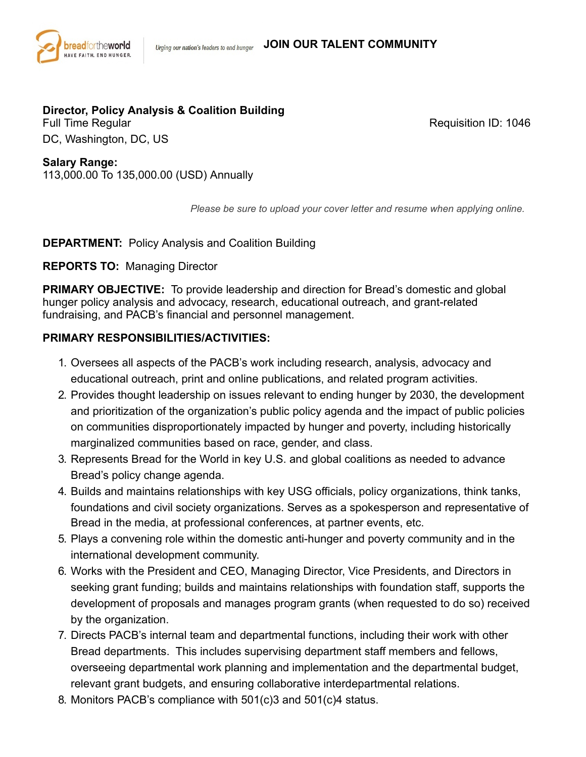

**JOIN OUR TALENT COMMUNITY**

### **Director, Policy Analysis & Coalition Building**

Full Time Regular DC, Washington, DC, US Requisition ID: 1046

#### **Salary Range:**

113,000.00 To 135,000.00 (USD) Annually

 *Please be sure to upload your cover letter and resume when applying online.*

#### **DEPARTMENT:** Policy Analysis and Coalition Building

**REPORTS TO:** Managing Director

**PRIMARY OBJECTIVE:** To provide leadership and direction for Bread's domestic and global hunger policy analysis and advocacy, research, educational outreach, and grant-related fundraising, and PACB's financial and personnel management.

#### **PRIMARY RESPONSIBILITIES/ACTIVITIES:**

- 1. Oversees all aspects of the PACB's work including research, analysis, advocacy and educational outreach, print and online publications, and related program activities.
- 2. Provides thought leadership on issues relevant to ending hunger by 2030, the development and prioritization of the organization's public policy agenda and the impact of public policies on communities disproportionately impacted by hunger and poverty, including historically marginalized communities based on race, gender, and class.
- 3. Represents Bread for the World in key U.S. and global coalitions as needed to advance Bread's policy change agenda.
- 4. Builds and maintains relationships with key USG officials, policy organizations, think tanks, foundations and civil society organizations. Serves as a spokesperson and representative of Bread in the media, at professional conferences, at partner events, etc.
- 5. Plays a convening role within the domestic anti-hunger and poverty community and in the international development community.
- 6. Works with the President and CEO, Managing Director, Vice Presidents, and Directors in seeking grant funding; builds and maintains relationships with foundation staff, supports the development of proposals and manages program grants (when requested to do so) received by the organization.
- 7. Directs PACB's internal team and departmental functions, including their work with other Bread departments. This includes supervising department staff members and fellows, overseeing departmental work planning and implementation and the departmental budget, relevant grant budgets, and ensuring collaborative interdepartmental relations.
- 8. Monitors PACB's compliance with 501(c)3 and 501(c)4 status.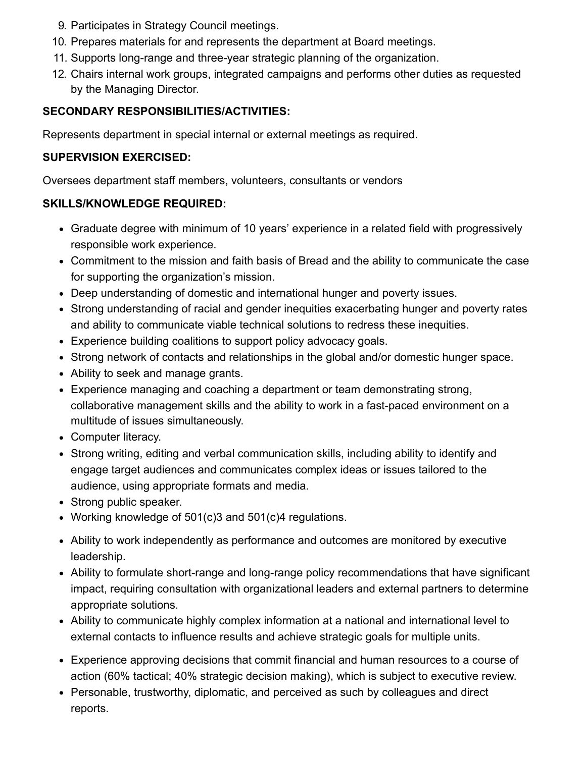- 9. Participates in Strategy Council meetings.
- 10. Prepares materials for and represents the department at Board meetings.
- 11. Supports long-range and three-year strategic planning of the organization.
- 12. Chairs internal work groups, integrated campaigns and performs other duties as requested by the Managing Director.

# **SECONDARY RESPONSIBILITIES/ACTIVITIES:**

Represents department in special internal or external meetings as required.

## **SUPERVISION EXERCISED:**

Oversees department staff members, volunteers, consultants or vendors

## **SKILLS/KNOWLEDGE REQUIRED:**

- Graduate degree with minimum of 10 years' experience in a related field with progressively responsible work experience.
- Commitment to the mission and faith basis of Bread and the ability to communicate the case for supporting the organization's mission.
- Deep understanding of domestic and international hunger and poverty issues.
- Strong understanding of racial and gender inequities exacerbating hunger and poverty rates and ability to communicate viable technical solutions to redress these inequities.
- Experience building coalitions to support policy advocacy goals.
- Strong network of contacts and relationships in the global and/or domestic hunger space.
- Ability to seek and manage grants.
- Experience managing and coaching a department or team demonstrating strong, collaborative management skills and the ability to work in a fast-paced environment on a multitude of issues simultaneously.
- Computer literacy.
- Strong writing, editing and verbal communication skills, including ability to identify and engage target audiences and communicates complex ideas or issues tailored to the audience, using appropriate formats and media.
- Strong public speaker.
- Working knowledge of 501(c)3 and 501(c)4 regulations.
- Ability to work independently as performance and outcomes are monitored by executive leadership.
- Ability to formulate short-range and long-range policy recommendations that have significant impact, requiring consultation with organizational leaders and external partners to determine appropriate solutions.
- Ability to communicate highly complex information at a national and international level to external contacts to influence results and achieve strategic goals for multiple units.
- Experience approving decisions that commit financial and human resources to a course of action (60% tactical; 40% strategic decision making), which is subject to executive review.
- Personable, trustworthy, diplomatic, and perceived as such by colleagues and direct reports.